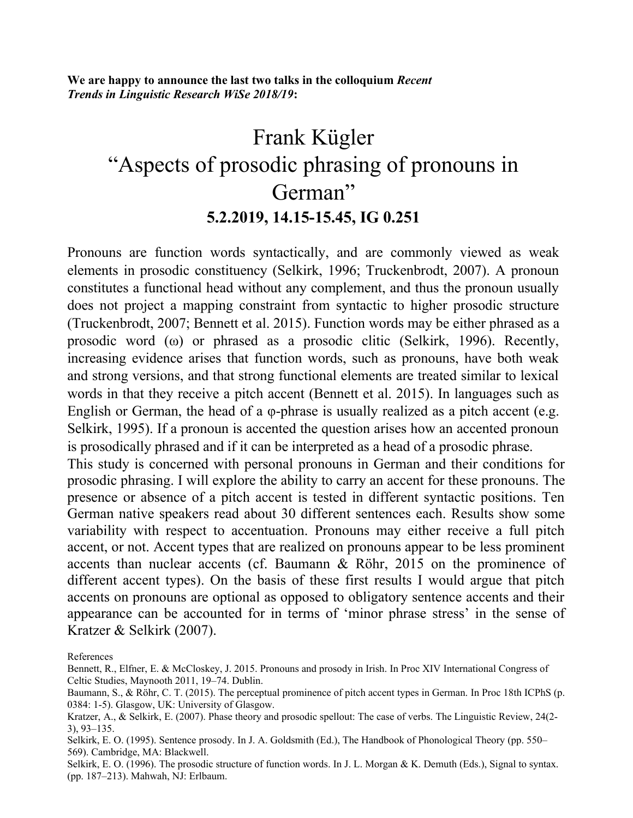**We are happy to announce the last two talks in the colloquium** *Recent Trends in Linguistic Research WiSe 2018/19***:**

## Frank Kügler "Aspects of prosodic phrasing of pronouns in German" **5.2.2019, 14.15-15.45, IG 0.251**

Pronouns are function words syntactically, and are commonly viewed as weak elements in prosodic constituency (Selkirk, 1996; Truckenbrodt, 2007). A pronoun constitutes a functional head without any complement, and thus the pronoun usually does not project a mapping constraint from syntactic to higher prosodic structure (Truckenbrodt, 2007; Bennett et al. 2015). Function words may be either phrased as a prosodic word (ω) or phrased as a prosodic clitic (Selkirk, 1996). Recently, increasing evidence arises that function words, such as pronouns, have both weak and strong versions, and that strong functional elements are treated similar to lexical words in that they receive a pitch accent (Bennett et al. 2015). In languages such as English or German, the head of a φ-phrase is usually realized as a pitch accent (e.g. Selkirk, 1995). If a pronoun is accented the question arises how an accented pronoun is prosodically phrased and if it can be interpreted as a head of a prosodic phrase.

This study is concerned with personal pronouns in German and their conditions for prosodic phrasing. I will explore the ability to carry an accent for these pronouns. The presence or absence of a pitch accent is tested in different syntactic positions. Ten German native speakers read about 30 different sentences each. Results show some variability with respect to accentuation. Pronouns may either receive a full pitch accent, or not. Accent types that are realized on pronouns appear to be less prominent accents than nuclear accents (cf. Baumann & Röhr, 2015 on the prominence of different accent types). On the basis of these first results I would argue that pitch accents on pronouns are optional as opposed to obligatory sentence accents and their appearance can be accounted for in terms of 'minor phrase stress' in the sense of Kratzer & Selkirk (2007).

References

Bennett, R., Elfner, E. & McCloskey, J. 2015. Pronouns and prosody in Irish. In Proc XIV International Congress of Celtic Studies, Maynooth 2011, 19–74. Dublin.

Baumann, S., & Röhr, C. T. (2015). The perceptual prominence of pitch accent types in German. In Proc 18th ICPhS (p. 0384: 1-5). Glasgow, UK: University of Glasgow.

Kratzer, A., & Selkirk, E. (2007). Phase theory and prosodic spellout: The case of verbs. The Linguistic Review, 24(2- 3), 93–135.

Selkirk, E. O. (1995). Sentence prosody. In J. A. Goldsmith (Ed.), The Handbook of Phonological Theory (pp. 550– 569). Cambridge, MA: Blackwell.

Selkirk, E. O. (1996). The prosodic structure of function words. In J. L. Morgan & K. Demuth (Eds.), Signal to syntax. (pp. 187–213). Mahwah, NJ: Erlbaum.